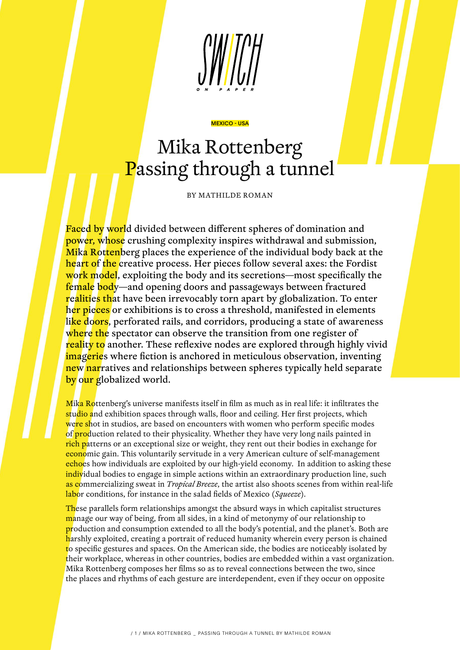

## Mika Rottenberg Passing through a tunnel

MEXICO - USA

BY MATHILDE ROMAN

Faced by world divided between different spheres of domination and power, whose crushing complexity inspires withdrawal and submission, Mika Rottenberg places the experience of the individual body back at the hea<mark>rt of the c</mark>reative process. Her pieces follow several axes: the Fordist work model, exploiting the body and its secretions—most specifically the female body—and opening doors and passageways between fractured realities that have been irrevocably torn apart by globalization. To enter her pieces or exhibitions is to cross a threshold, manifested in elements like doors, perforated rails, and corridors, producing a state of awareness where the spectator can observe the transition from one register of reality to another. These reflexive nodes are explored through highly vivid imageries where fiction is anchored in meticulous observation, inventing new narratives and relationships between spheres typically held separate by our globalized world.

Mika Rottenberg's universe manifests itself in film as much as in real life: it infiltrates the studio and exhibition spaces through walls, floor and ceiling. Her first projects, which were shot in studios, are based on encounters with women who perform specific modes of **production related to their physicality.** Whether they have very long nails painted in rich patterns or an exceptional size or weight, they rent out their bodies in exchange for economic gain. This voluntarily servitude in a very American culture of self-management echoes how individuals are exploited by our high-yield economy. In addition to asking these individual bodies to engage in simple actions within an extraordinary production line, such as commercializing sweat in *Tropical Breeze*, the artist also shoots scenes from within real-life labor conditions, for instance in the salad fields of Mexico (*Squeeze*).

These parallels form relationships amongst the absurd ways in which capitalist structures manage our way of being, from all sides, in a kind of metonymy of our relationship to production and consumption extended to all the body's potential, and the planet's. Both are harshly exploited, creating a portrait of reduced humanity wherein every person is chained to specific gestures and spaces. On the American side, the bodies are noticeably isolated by their workplace, whereas in other countries, bodies are embedded within a vast organization. Mika Rottenberg composes her films so as to reveal connections between the two, since the places and rhythms of each gesture are interdependent, even if they occur on opposite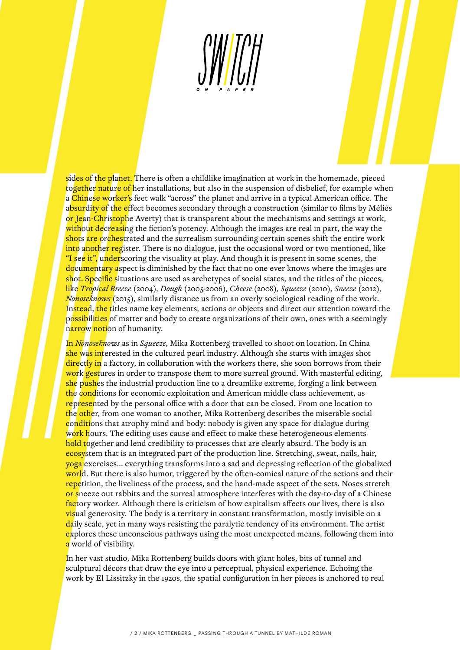

sides of the planet. There is often a childlike imagination at work in the homemade, pieced together nature of her installations, but also in the suspension of disbelief, for example when a Chinese worker's feet walk "across" the planet and arrive in a typical American office. The absurdity of the effect becomes secondary through a construction (similar to films by Méliés or Jean-Christophe Averty) that is transparent about the mechanisms and settings at work, without decreasing the fiction's potency. Although the images are real in part, the way the shots are orchestrated and the surrealism surrounding certain scenes shift the entire work into another register. There is no dialogue, just the occasional word or two mentioned, like "I see it", underscoring the visuality at play. And though it is present in some scenes, the documentary aspect is diminished by the fact that no one ever knows where the images are shot. Specific situations are used as archetypes of social states, and the titles of the pieces, like *Tropical Breeze* (2004), *Dough* (2005-2006), *Cheese* (2008), *Squeeze* (2010), *Sneeze* (2012), *Nonoseknows* (2015), similarly distance us from an overly sociological reading of the work. Instead, the titles name key elements, actions or objects and direct our attention toward the possibilities of matter and body to create organizations of their own, ones with a seemingly narrow notion of humanity.

In *Nonoseknows* as in *Squeeze*, Mika Rottenberg travelled to shoot on location. In China she was interested in the cultured pearl industry. Although she starts with images shot directly in a factory, in collaboration with the workers there, she soon borrows from their work gestures in order to transpose them to more surreal ground. With masterful editing, she pushes the industrial production line to a dreamlike extreme, forging a link between the conditions for economic exploitation and American middle class achievement, as represented by the personal office with a door that can be closed. From one location to the other, from one woman to another, Mika Rottenberg describes the miserable social conditions that atrophy mind and body: nobody is given any space for dialogue during work hours. The editing uses cause and effect to make these heterogeneous elements hold together and lend credibility to processes that are clearly absurd. The body is an ecosystem that is an integrated part of the production line. Stretching, sweat, nails, hair, yoga exercises… everything transforms into a sad and depressing reflection of the globalized world. But there is also humor, triggered by the often-comical nature of the actions and their repetition, the liveliness of the process, and the hand-made aspect of the sets. Noses stretch or sneeze out rabbits and the surreal atmosphere interferes with the day-to-day of a Chinese factory worker. Although there is criticism of how capitalism affects our lives, there is also visual generosity. The body is a territory in constant transformation, mostly invisible on a daily scale, yet in many ways resisting the paralytic tendency of its environment. The artist explores these unconscious pathways using the most unexpected means, following them into a world of visibility.

In her vast studio, Mika Rottenberg builds doors with giant holes, bits of tunnel and sculptural décors that draw the eye into a perceptual, physical experience. Echoing the work by El Lissitzky in the 1920s, the spatial configuration in her pieces is anchored to real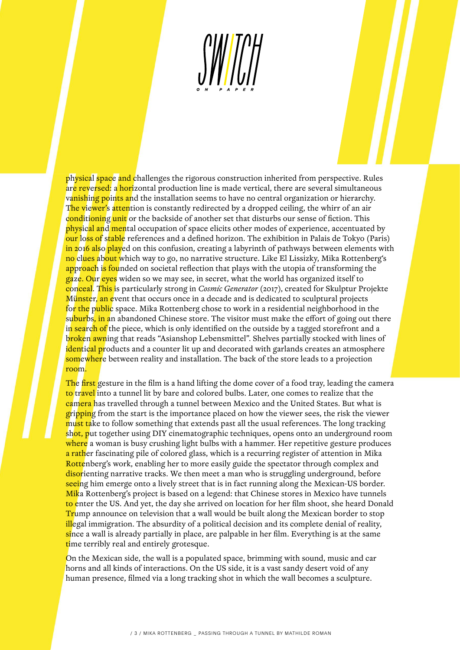

physical space and challenges the rigorous construction inherited from perspective. Rules are reversed: a horizontal production line is made vertical, there are several simultaneous vanishing points and the installation seems to have no central organization or hierarchy. The viewer's attention is constantly redirected by a dropped ceiling, the whirr of an air conditioning unit or the backside of another set that disturbs our sense of fiction. This physical and mental occupation of space elicits other modes of experience, accentuated by our loss of stable references and a defined horizon. The exhibition in Palais de Tokyo (Paris) in 2016 also played on this confusion, creating a labyrinth of pathways between elements with no clues about which way to go, no narrative structure. Like El Lissizky, Mika Rottenberg's approach is founded on societal reflection that plays with the utopia of transforming the gaze. Our eyes widen so we may see, in secret, what the world has organized itself to conceal. This is particularly strong in *Cosmic Generator* (2017), created for Skulptur Projekte Münster, an event that occurs once in a decade and is dedicated to sculptural projects for the public space. Mika Rottenberg chose to work in a residential neighborhood in the suburbs, in an abandoned Chinese store. The visitor must make the effort of going out there in search of the piece, which is only identified on the outside by a tagged storefront and a broken awning that reads "Asianshop Lebensmittel". Shelves partially stocked with lines of identical products and a counter lit up and decorated with garlands creates an atmosphere somewhere between reality and installation. The back of the store leads to a projection room.

The first gesture in the film is a hand lifting the dome cover of a food tray, leading the camera to travel into a tunnel lit by bare and colored bulbs. Later, one comes to realize that the camera has travelled through a tunnel between Mexico and the United States. But what is gripping from the start is the importance placed on how the viewer sees, the risk the viewer must take to follow something that extends past all the usual references. The long tracking shot, put together using DIY cinematographic techniques, opens onto an underground room where a woman is busy crushing light bulbs with a hammer. Her repetitive gesture produces a rather fascinating pile of colored glass, which is a recurring register of attention in Mika Rottenberg's work, enabling her to more easily guide the spectator through complex and disorienting narrative tracks. We then meet a man who is struggling underground, before seeing him emerge onto a lively street that is in fact running along the Mexican-US border. Mika Rottenberg's project is based on a legend: that Chinese stores in Mexico have tunnels to enter the US. And yet, the day she arrived on location for her film shoot, she heard Donald Trump announce on television that a wall would be built along the Mexican border to stop illegal immigration. The absurdity of a political decision and its complete denial of reality, since a wall is already partially in place, are palpable in her film. Everything is at the same time terribly real and entirely grotesque.

On the Mexican side, the wall is a populated space, brimming with sound, music and car horns and all kinds of interactions. On the US side, it is a vast sandy desert void of any human presence, filmed via a long tracking shot in which the wall becomes a sculpture.